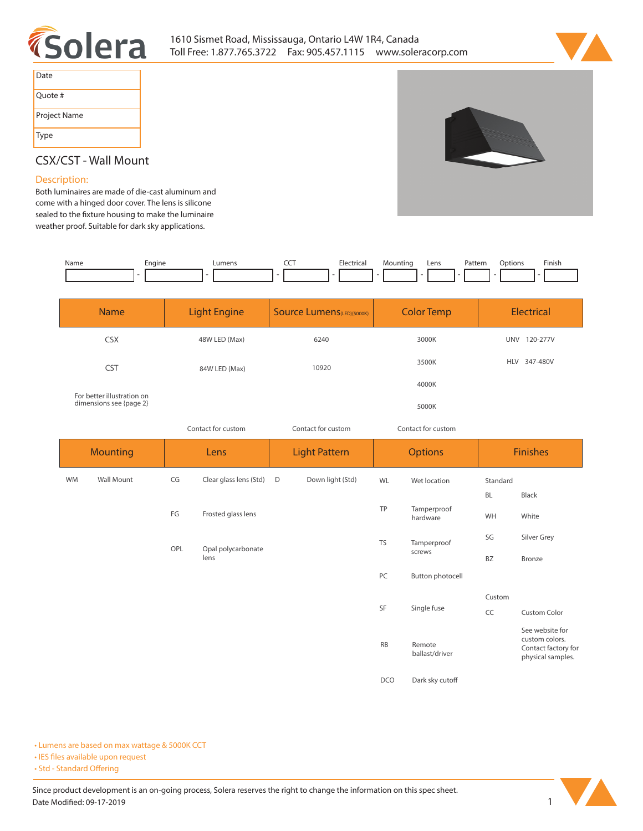



| Date         |
|--------------|
| Quote #      |
| Project Name |
| Type         |

# **CSX/CST - Wall Mount**

### **Description:**

**Both luminaires are made of die-cast aluminum and come with a hinged door cover. The lens is silicone**  sealed to the fixture housing to make the luminaire **weather proof. Suitable for dark sky applications.**

| Name | Engine<br>- 11 | $I$ manc | --- | trical<br>. | <i>l</i> lountinc | Lens | Patterr<br>. | tion | Finish<br>the contract of the contract of the |
|------|----------------|----------|-----|-------------|-------------------|------|--------------|------|-----------------------------------------------|
|      |                |          |     |             |                   |      |              |      |                                               |

| <b>Name</b>                                           | <b>Light Engine</b> | <b>Source Lumens</b> (LED)(5000K) | <b>Color Temp</b> | <b>Electrical</b>      |  |
|-------------------------------------------------------|---------------------|-----------------------------------|-------------------|------------------------|--|
| <b>CSX</b>                                            | 48W LED (Max)       | 6240                              | 3000K             | 120-277V<br><b>UNV</b> |  |
| <b>CST</b>                                            | 84W LED (Max)       | 10920                             | 3500K             | HLV 347-480V           |  |
|                                                       |                     |                                   | 4000K             |                        |  |
| For better illustration on<br>dimensions see {page 2} |                     |                                   | 5000K             |                        |  |

*Contact for custom*

*Contact for custom Contact for custom*

| <b>Mounting</b> |            | Lens |                            | <b>Light Pattern</b> |                  | <b>Options</b> |                          | <b>Finishes</b> |                                                                               |
|-----------------|------------|------|----------------------------|----------------------|------------------|----------------|--------------------------|-----------------|-------------------------------------------------------------------------------|
| WM              | Wall Mount | CG   | Clear glass lens (Std)     | D                    | Down light (Std) | WL             | Wet location             | Standard        |                                                                               |
|                 |            |      |                            |                      |                  |                |                          | <b>BL</b>       | Black                                                                         |
|                 |            | FG   | Frosted glass lens         |                      |                  | TP             | Tamperproof<br>hardware  | WH              | White                                                                         |
|                 |            | OPL  |                            |                      |                  | <b>TS</b>      | Tamperproof              | SG              | Silver Grey                                                                   |
|                 |            |      | Opal polycarbonate<br>lens |                      |                  |                | screws                   | <b>BZ</b>       | Bronze                                                                        |
|                 |            |      |                            |                      |                  | PC             | Button photocell         |                 |                                                                               |
|                 |            |      |                            |                      |                  |                |                          | Custom          |                                                                               |
|                 |            |      |                            |                      |                  | SF             | Single fuse              | CC              | <b>Custom Color</b>                                                           |
|                 |            |      |                            |                      |                  | <b>RB</b>      | Remote<br>ballast/driver |                 | See website for<br>custom colors.<br>Contact factory for<br>physical samples. |
|                 |            |      |                            |                      |                  | <b>DCO</b>     | Dark sky cutoff          |                 |                                                                               |

**• Lumens are based on max wattage & 5000K CCT**

**• IES files available upon request** 

• Std - Standard Offering

Since product development is an on-going process, Solera reserves the right to change the information on this spec sheet. **Date Modified: 09-17-2019** 1